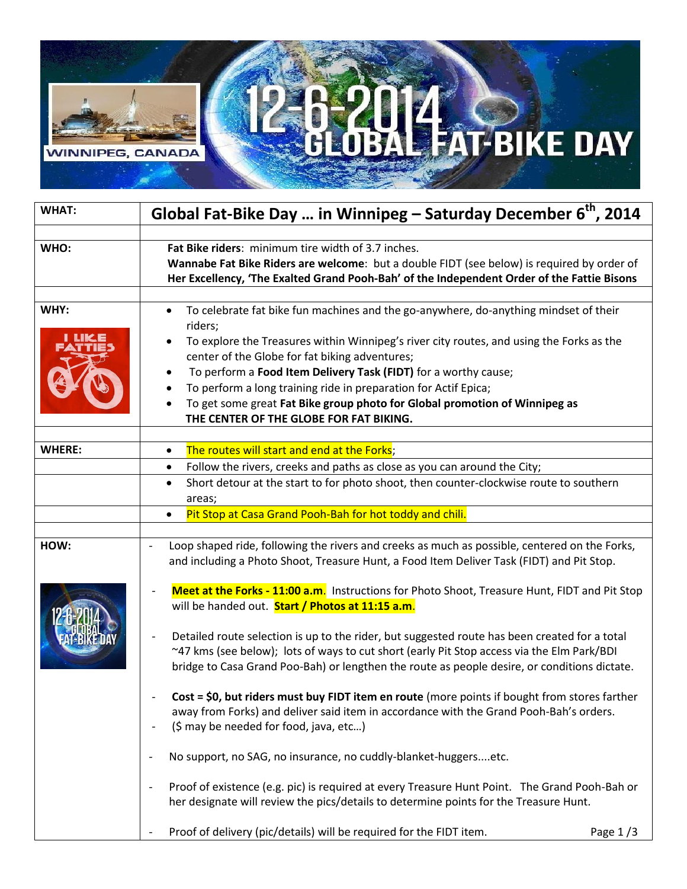## **AND STATE DAY VINNIPEG,** CANAD

| <b>WHAT:</b>  | Global Fat-Bike Day  in Winnipeg - Saturday December 6 <sup>th</sup> , 2014                                                                                                                                                                                                                                                                                                                                                                                                                                               |
|---------------|---------------------------------------------------------------------------------------------------------------------------------------------------------------------------------------------------------------------------------------------------------------------------------------------------------------------------------------------------------------------------------------------------------------------------------------------------------------------------------------------------------------------------|
| WHO:          | Fat Bike riders: minimum tire width of 3.7 inches.<br>Wannabe Fat Bike Riders are welcome: but a double FIDT (see below) is required by order of<br>Her Excellency, 'The Exalted Grand Pooh-Bah' of the Independent Order of the Fattie Bisons                                                                                                                                                                                                                                                                            |
| WHY:          | To celebrate fat bike fun machines and the go-anywhere, do-anything mindset of their<br>$\bullet$<br>riders;<br>To explore the Treasures within Winnipeg's river city routes, and using the Forks as the<br>center of the Globe for fat biking adventures;<br>To perform a Food Item Delivery Task (FIDT) for a worthy cause;<br>To perform a long training ride in preparation for Actif Epica;<br>To get some great Fat Bike group photo for Global promotion of Winnipeg as<br>THE CENTER OF THE GLOBE FOR FAT BIKING. |
| <b>WHERE:</b> | The routes will start and end at the Forks;<br>٠<br>Follow the rivers, creeks and paths as close as you can around the City;<br>$\bullet$<br>Short detour at the start to for photo shoot, then counter-clockwise route to southern<br>$\bullet$                                                                                                                                                                                                                                                                          |
|               | areas;<br>Pit Stop at Casa Grand Pooh-Bah for hot toddy and chili.<br>$\bullet$                                                                                                                                                                                                                                                                                                                                                                                                                                           |
| HOW:          | Loop shaped ride, following the rivers and creeks as much as possible, centered on the Forks,<br>$\overline{\phantom{a}}$<br>and including a Photo Shoot, Treasure Hunt, a Food Item Deliver Task (FIDT) and Pit Stop.                                                                                                                                                                                                                                                                                                    |
|               | Meet at the Forks - 11:00 a.m. Instructions for Photo Shoot, Treasure Hunt, FIDT and Pit Stop<br>$\overline{a}$<br>will be handed out. Start / Photos at 11:15 a.m.<br>Detailed route selection is up to the rider, but suggested route has been created for a total<br>$\qquad \qquad -$<br>~47 kms (see below); lots of ways to cut short (early Pit Stop access via the Elm Park/BDI<br>bridge to Casa Grand Poo-Bah) or lengthen the route as people desire, or conditions dictate.                                   |
|               | Cost = \$0, but riders must buy FIDT item en route (more points if bought from stores farther<br>away from Forks) and deliver said item in accordance with the Grand Pooh-Bah's orders.<br>(\$ may be needed for food, java, etc)<br>÷,                                                                                                                                                                                                                                                                                   |
|               | No support, no SAG, no insurance, no cuddly-blanket-huggersetc.<br>$\qquad \qquad -$                                                                                                                                                                                                                                                                                                                                                                                                                                      |
|               | Proof of existence (e.g. pic) is required at every Treasure Hunt Point. The Grand Pooh-Bah or<br>$\overline{\phantom{a}}$<br>her designate will review the pics/details to determine points for the Treasure Hunt.                                                                                                                                                                                                                                                                                                        |
|               | Proof of delivery (pic/details) will be required for the FIDT item<br>Page $1/3$                                                                                                                                                                                                                                                                                                                                                                                                                                          |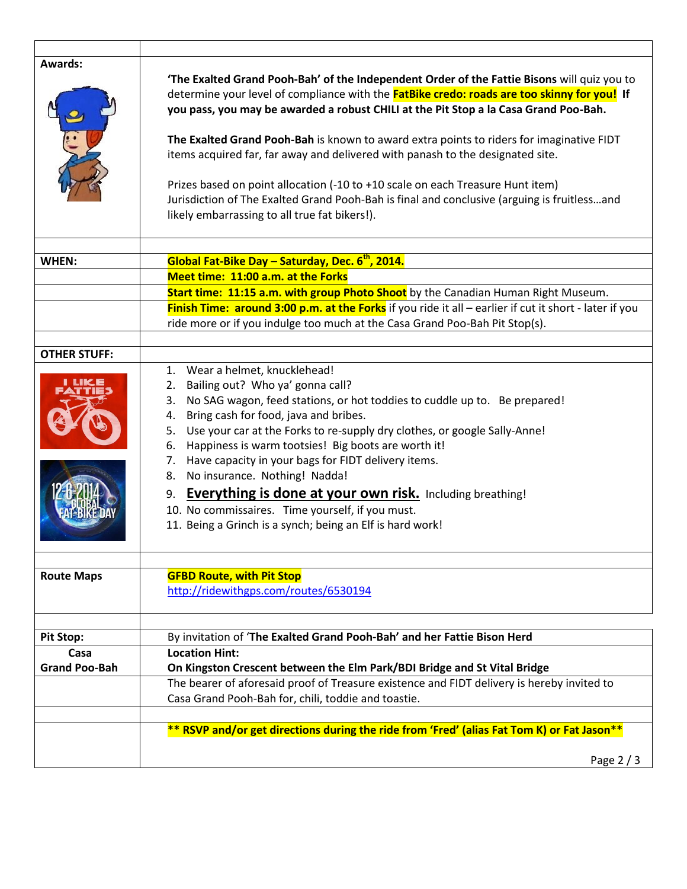| <b>Awards:</b>       | 'The Exalted Grand Pooh-Bah' of the Independent Order of the Fattie Bisons will quiz you to<br>determine your level of compliance with the <b>FatBike credo: roads are too skinny for you!</b> If<br>you pass, you may be awarded a robust CHILI at the Pit Stop a la Casa Grand Poo-Bah.<br>The Exalted Grand Pooh-Bah is known to award extra points to riders for imaginative FIDT<br>items acquired far, far away and delivered with panash to the designated site.<br>Prizes based on point allocation (-10 to +10 scale on each Treasure Hunt item)<br>Jurisdiction of The Exalted Grand Pooh-Bah is final and conclusive (arguing is fruitlessand<br>likely embarrassing to all true fat bikers!). |
|----------------------|-----------------------------------------------------------------------------------------------------------------------------------------------------------------------------------------------------------------------------------------------------------------------------------------------------------------------------------------------------------------------------------------------------------------------------------------------------------------------------------------------------------------------------------------------------------------------------------------------------------------------------------------------------------------------------------------------------------|
|                      | Global Fat-Bike Day - Saturday, Dec. 6 <sup>th</sup> , 2014.                                                                                                                                                                                                                                                                                                                                                                                                                                                                                                                                                                                                                                              |
| WHEN:                |                                                                                                                                                                                                                                                                                                                                                                                                                                                                                                                                                                                                                                                                                                           |
|                      | Meet time: 11:00 a.m. at the Forks                                                                                                                                                                                                                                                                                                                                                                                                                                                                                                                                                                                                                                                                        |
|                      | Start time: 11:15 a.m. with group Photo Shoot by the Canadian Human Right Museum.                                                                                                                                                                                                                                                                                                                                                                                                                                                                                                                                                                                                                         |
|                      | Finish Time: around 3:00 p.m. at the Forks if you ride it all - earlier if cut it short - later if you<br>ride more or if you indulge too much at the Casa Grand Poo-Bah Pit Stop(s).                                                                                                                                                                                                                                                                                                                                                                                                                                                                                                                     |
|                      |                                                                                                                                                                                                                                                                                                                                                                                                                                                                                                                                                                                                                                                                                                           |
| <b>OTHER STUFF:</b>  |                                                                                                                                                                                                                                                                                                                                                                                                                                                                                                                                                                                                                                                                                                           |
|                      | 1. Wear a helmet, knucklehead!<br>2. Bailing out? Who ya' gonna call?<br>3. No SAG wagon, feed stations, or hot toddies to cuddle up to. Be prepared!<br>4. Bring cash for food, java and bribes.<br>5. Use your car at the Forks to re-supply dry clothes, or google Sally-Anne!<br>Happiness is warm tootsies! Big boots are worth it!<br>6.<br>7. Have capacity in your bags for FIDT delivery items.<br>8. No insurance. Nothing! Nadda!<br><b>Everything is done at your own risk.</b> Including breathing!<br>9.<br>10. No commissaires. Time yourself, if you must.<br>11. Being a Grinch is a synch; being an Elf is hard work!                                                                   |
|                      |                                                                                                                                                                                                                                                                                                                                                                                                                                                                                                                                                                                                                                                                                                           |
| <b>Route Maps</b>    | <b>GFBD Route, with Pit Stop</b><br>http://ridewithgps.com/routes/6530194                                                                                                                                                                                                                                                                                                                                                                                                                                                                                                                                                                                                                                 |
|                      |                                                                                                                                                                                                                                                                                                                                                                                                                                                                                                                                                                                                                                                                                                           |
| <b>Pit Stop:</b>     | By invitation of 'The Exalted Grand Pooh-Bah' and her Fattie Bison Herd                                                                                                                                                                                                                                                                                                                                                                                                                                                                                                                                                                                                                                   |
| Casa                 | <b>Location Hint:</b>                                                                                                                                                                                                                                                                                                                                                                                                                                                                                                                                                                                                                                                                                     |
| <b>Grand Poo-Bah</b> | On Kingston Crescent between the Elm Park/BDI Bridge and St Vital Bridge                                                                                                                                                                                                                                                                                                                                                                                                                                                                                                                                                                                                                                  |
|                      | The bearer of aforesaid proof of Treasure existence and FIDT delivery is hereby invited to<br>Casa Grand Pooh-Bah for, chili, toddie and toastie.                                                                                                                                                                                                                                                                                                                                                                                                                                                                                                                                                         |
|                      |                                                                                                                                                                                                                                                                                                                                                                                                                                                                                                                                                                                                                                                                                                           |
|                      | ** RSVP and/or get directions during the ride from 'Fred' (alias Fat Tom K) or Fat Jason**                                                                                                                                                                                                                                                                                                                                                                                                                                                                                                                                                                                                                |
|                      | Page 2 / 3                                                                                                                                                                                                                                                                                                                                                                                                                                                                                                                                                                                                                                                                                                |